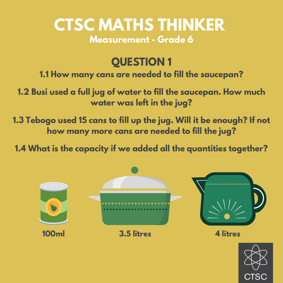# **CTSC MATHS THINKER Measurement - Grade 6**

### **QUESTION 1**

**1.1 How many cans are needed to fill the saucepan?**

**1.2 Busi used a full jug of water to fill the saucepan. How much water was left in the jug?**

**1.3 Tebogo used 15 cans to fill up the jug. Will it be enough? If not how many more cans are needed to fill the jug?**

**1.4 What is the capacity if we added all the quantities together?**

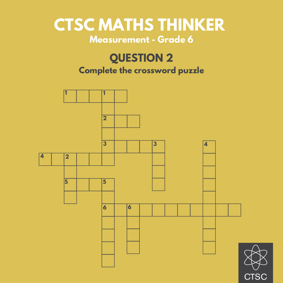### **CTSC MATHS THINKER Measurement - Grade 6**

### **QUESTION 2**

### **Complete the crossword puzzle**